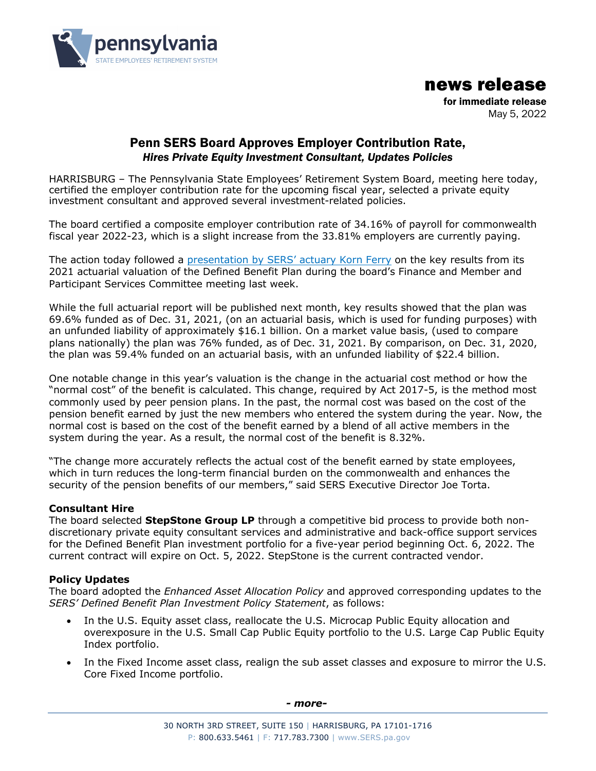

news release

for immediate release May 5, 2022

# Penn SERS Board Approves Employer Contribution Rate, *Hires Private Equity Investment Consultant, Updates Policies*

HARRISBURG – The Pennsylvania State Employees' Retirement System Board, meeting here today, certified the employer contribution rate for the upcoming fiscal year, selected a private equity investment consultant and approved several investment-related policies.

The board certified a composite employer contribution rate of 34.16% of payroll for commonwealth fiscal year 2022-23, which is a slight increase from the 33.81% employers are currently paying.

The action today followed a presentation by SERS' actuary Korn Ferry on the key results from its 2021 actuarial valuation of the Defined Benefit Plan during the board's Finance and Member and Participant Services Committee meeting last week.

While the full actuarial report will be published next month, key results showed that the plan was 69.6% funded as of Dec. 31, 2021, (on an actuarial basis, which is used for funding purposes) with an unfunded liability of approximately \$16.1 billion. On a market value basis, (used to compare plans nationally) the plan was 76% funded, as of Dec. 31, 2021. By comparison, on Dec. 31, 2020, the plan was 59.4% funded on an actuarial basis, with an unfunded liability of \$22.4 billion.

One notable change in this year's valuation is the change in the actuarial cost method or how the "normal cost" of the benefit is calculated. This change, required by Act 2017-5, is the method most commonly used by peer pension plans. In the past, the normal cost was based on the cost of the pension benefit earned by just the new members who entered the system during the year. Now, the normal cost is based on the cost of the benefit earned by a blend of all active members in the system during the year. As a result, the normal cost of the benefit is 8.32%.

"The change more accurately reflects the actual cost of the benefit earned by state employees, which in turn reduces the long-term financial burden on the commonwealth and enhances the security of the pension benefits of our members," said SERS Executive Director Joe Torta.

## **Consultant Hire**

The board selected **StepStone Group LP** through a competitive bid process to provide both nondiscretionary private equity consultant services and administrative and back-office support services for the Defined Benefit Plan investment portfolio for a five-year period beginning Oct. 6, 2022. The current contract will expire on Oct. 5, 2022. StepStone is the current contracted vendor.

### **Policy Updates**

The board adopted the *Enhanced Asset Allocation Policy* and approved corresponding updates to the *SERS' Defined Benefit Plan Investment Policy Statement*, as follows:

- In the U.S. Equity asset class, reallocate the U.S. Microcap Public Equity allocation and overexposure in the U.S. Small Cap Public Equity portfolio to the U.S. Large Cap Public Equity Index portfolio.
- In the Fixed Income asset class, realign the sub asset classes and exposure to mirror the U.S. Core Fixed Income portfolio.

*- more-*